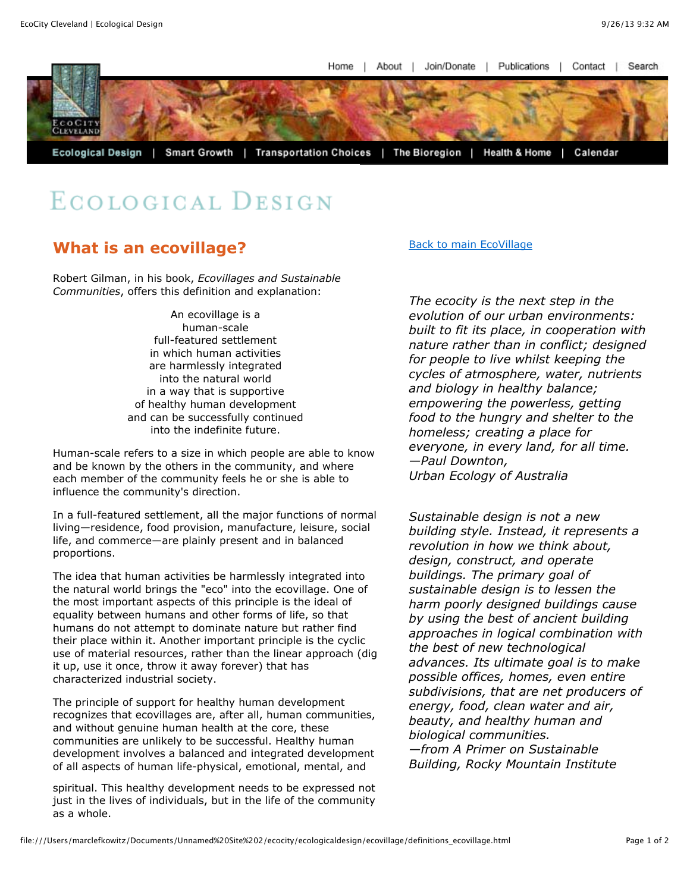Join/Donate | Home About Publications  $\overline{1}$ Contact Search



## ECOLOGICAL DESIGN

## **What is an ecovillage?**

Robert Gilman, in his book, *Ecovillages and Sustainable Communities*, offers this definition and explanation:

> An ecovillage is a human-scale full-featured settlement in which human activities are harmlessly integrated into the natural world in a way that is supportive of healthy human development and can be successfully continued into the indefinite future.

Human-scale refers to a size in which people are able to know and be known by the others in the community, and where each member of the community feels he or she is able to influence the community's direction.

In a full-featured settlement, all the major functions of normal living—residence, food provision, manufacture, leisure, social life, and commerce—are plainly present and in balanced proportions.

The idea that human activities be harmlessly integrated into the natural world brings the "eco" into the ecovillage. One of the most important aspects of this principle is the ideal of equality between humans and other forms of life, so that humans do not attempt to dominate nature but rather find their place within it. Another important principle is the cyclic use of material resources, rather than the linear approach (dig it up, use it once, throw it away forever) that has characterized industrial society.

The principle of support for healthy human development recognizes that ecovillages are, after all, human communities, and without genuine human health at the core, these communities are unlikely to be successful. Healthy human development involves a balanced and integrated development of all aspects of human life-physical, emotional, mental, and

spiritual. This healthy development needs to be expressed not just in the lives of individuals, but in the life of the community as a whole.

[Back to main EcoVillage](file:///Users/marclefkowitz/Documents/Unnamed%20Site%202/ecocity/ecologicaldesign/ecovillage/intro_ecovillage.html)

*The ecocity is the next step in the evolution of our urban environments: built to fit its place, in cooperation with nature rather than in conflict; designed for people to live whilst keeping the cycles of atmosphere, water, nutrients and biology in healthy balance; empowering the powerless, getting food to the hungry and shelter to the homeless; creating a place for everyone, in every land, for all time. —Paul Downton, Urban Ecology of Australia*

*Sustainable design is not a new building style. Instead, it represents a revolution in how we think about, design, construct, and operate buildings. The primary goal of sustainable design is to lessen the harm poorly designed buildings cause by using the best of ancient building approaches in logical combination with the best of new technological advances. Its ultimate goal is to make possible offices, homes, even entire subdivisions, that are net producers of energy, food, clean water and air, beauty, and healthy human and biological communities. —from A Primer on Sustainable Building, Rocky Mountain Institute*